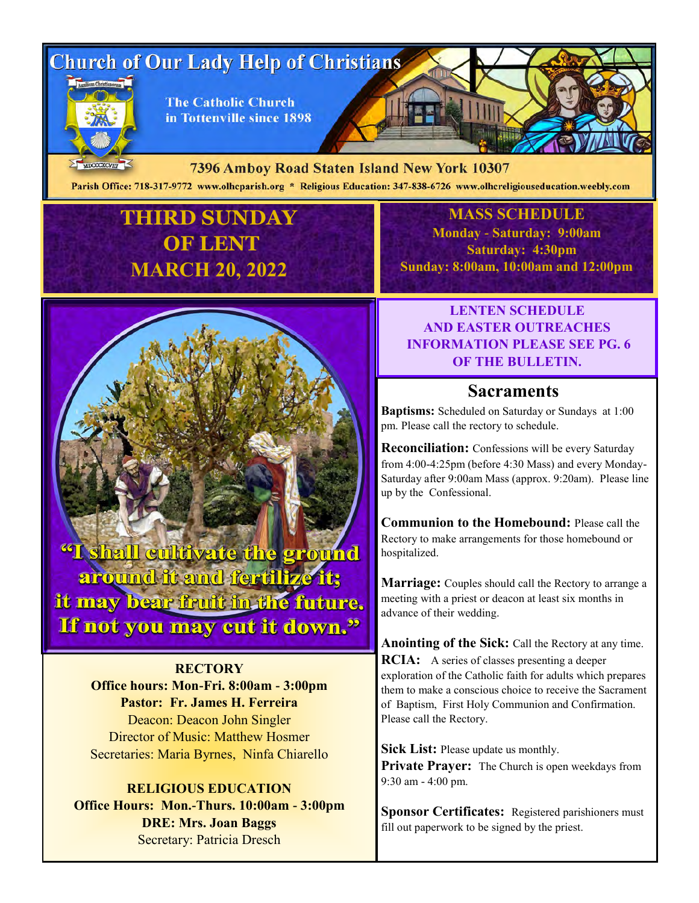# **Church of Our Lady Help of Christians**



MDCCCXCVIII

**The Catholic Church** in Tottenville since 1898

7396 Amboy Road Staten Island New York 10307

Parish Office: 718-317-9772 www.olhcparish.org \* Religious Education: 347-838-6726 www.olhcreligiouseducation.weebly.com

# **THIRD SUNDAY OF LENT MARCH 20, 2022**



**RECTORY Office hours: Mon-Fri. 8:00am - 3:00pm Pastor: Fr. James H. Ferreira** Deacon: Deacon John Singler Director of Music: Matthew Hosmer Secretaries: Maria Byrnes, Ninfa Chiarello

#### **RELIGIOUS EDUCATION Office Hours: Mon.-Thurs. 10:00am - 3:00pm DRE: Mrs. Joan Baggs** Secretary: Patricia Dresch

**MASS SCHEDULE Monday - Saturday: 9:00am Saturday: 4:30pm Sunday: 8:00am, 10:00am and 12:00pm**

### **LENTEN SCHEDULE AND EASTER OUTREACHES INFORMATION PLEASE SEE PG. 6 OF THE BULLETIN.**

# **Sacraments**

**Baptisms:** Scheduled on Saturday or Sundays at 1:00 pm. Please call the rectory to schedule.

**Reconciliation:** Confessions will be every Saturday from 4:00-4:25pm (before 4:30 Mass) and every Monday-Saturday after 9:00am Mass (approx. 9:20am). Please line up by the Confessional.

**Communion to the Homebound:** Please call the Rectory to make arrangements for those homebound or hospitalized.

**Marriage:** Couples should call the Rectory to arrange a meeting with a priest or deacon at least six months in advance of their wedding.

**Anointing of the Sick:** Call the Rectory at any time. **RCIA:** A series of classes presenting a deeper exploration of the Catholic faith for adults which prepares them to make a conscious choice to receive the Sacrament of Baptism, First Holy Communion and Confirmation. Please call the Rectory.

**Sick List:** Please update us monthly. **Private Prayer:** The Church is open weekdays from 9:30 am - 4:00 pm.

**Sponsor Certificates:** Registered parishioners must fill out paperwork to be signed by the priest.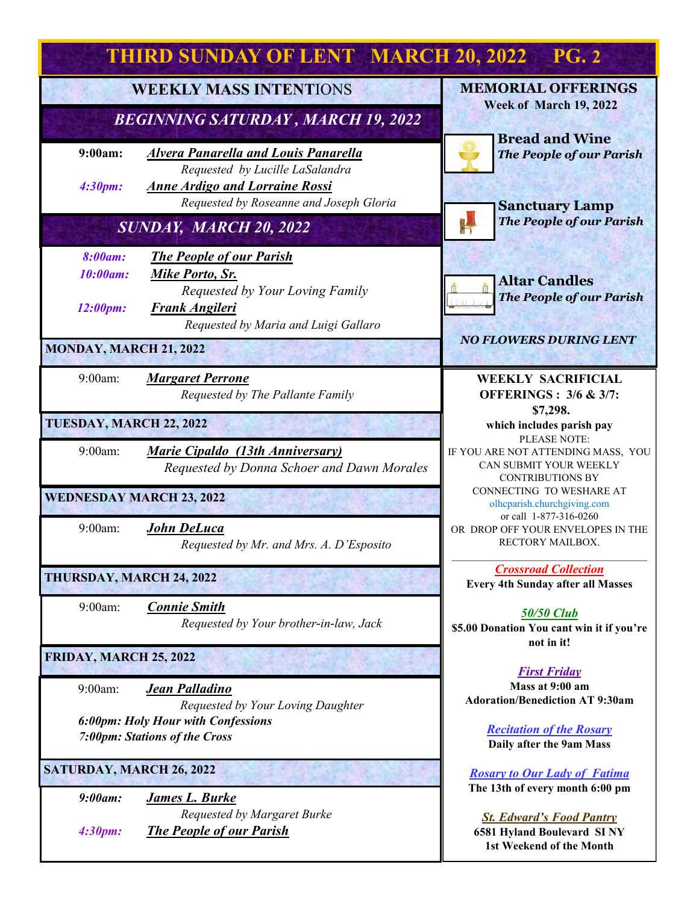| <b>THIRD SUNDAY OF LENT MARCH 20, 2022</b><br><b>PG. 2</b>                 |                                                                                                                                                 |                                                                                           |
|----------------------------------------------------------------------------|-------------------------------------------------------------------------------------------------------------------------------------------------|-------------------------------------------------------------------------------------------|
| <b>WEEKLY MASS INTENTIONS</b><br><b>BEGINNING SATURDAY, MARCH 19, 2022</b> |                                                                                                                                                 | <b>MEMORIAL OFFERINGS</b><br>Week of March 19, 2022                                       |
| 9:00am:                                                                    | <b>Alvera Panarella and Louis Panarella</b>                                                                                                     | <b>Bread and Wine</b><br><b>The People of our Parish</b>                                  |
| 4:30pm:                                                                    | Requested by Lucille LaSalandra<br><b>Anne Ardigo and Lorraine Rossi</b><br>Requested by Roseanne and Joseph Gloria                             | <b>Sanctuary Lamp</b>                                                                     |
| SUNDAY, MARCH 20, 2022                                                     |                                                                                                                                                 | <b>The People of our Parish</b>                                                           |
| 8:00am:<br>10:00am:<br>12:00pm:                                            | <b>The People of our Parish</b><br>Mike Porto, Sr.<br>Requested by Your Loving Family<br>Frank Angileri<br>Requested by Maria and Luigi Gallaro | <b>Altar Candles</b><br><b>The People of our Parish</b>                                   |
| <b>MONDAY, MARCH 21, 2022</b>                                              |                                                                                                                                                 | <b>NO FLOWERS DURING LENT</b>                                                             |
| 9:00am:                                                                    | <b>Margaret Perrone</b><br>Requested by The Pallante Family                                                                                     | <b>WEEKLY SACRIFICIAL</b><br><b>OFFERINGS: 3/6 &amp; 3/7:</b>                             |
| TUESDAY, MARCH 22, 2022                                                    |                                                                                                                                                 | \$7,298.<br>which includes parish pay<br>PLEASE NOTE:                                     |
| $9:00$ am:                                                                 | <b>Marie Cipaldo</b> (13th Anniversary)<br>Requested by Donna Schoer and Dawn Morales                                                           | IF YOU ARE NOT ATTENDING MASS, YOU<br>CAN SUBMIT YOUR WEEKLY<br><b>CONTRIBUTIONS BY</b>   |
| <b>WEDNESDAY MARCH 23, 2022</b>                                            |                                                                                                                                                 | CONNECTING TO WESHARE AT<br>olhcparish.churchgiving.com<br>or call 1-877-316-0260         |
| 9:00am:                                                                    | <b>John DeLuca</b><br>Requested by Mr. and Mrs. A. D'Esposito                                                                                   | OR DROP OFF YOUR ENVELOPES IN THE<br>RECTORY MAILBOX.                                     |
| THURSDAY, MARCH 24, 2022                                                   |                                                                                                                                                 | <b>Crossroad Collection</b><br><b>Every 4th Sunday after all Masses</b>                   |
| 9:00am:                                                                    | <b>Connie Smith</b><br>Requested by Your brother-in-law, Jack                                                                                   | <b>50/50 Club</b><br>\$5.00 Donation You cant win it if you're<br>not in it!              |
| FRIDAY, MARCH 25, 2022                                                     |                                                                                                                                                 | <b>First Friday</b>                                                                       |
| 9:00am:                                                                    | Jean Palladino<br>Requested by Your Loving Daughter                                                                                             | Mass at 9:00 am<br><b>Adoration/Benediction AT 9:30am</b>                                 |
| 6:00pm: Holy Hour with Confessions<br><b>7:00pm: Stations of the Cross</b> |                                                                                                                                                 | <b>Recitation of the Rosary</b><br>Daily after the 9am Mass                               |
| <b>SATURDAY, MARCH 26, 2022</b>                                            |                                                                                                                                                 | <b>Rosary to Our Lady of Fatima</b><br>The 13th of every month 6:00 pm                    |
| 9:00am:<br>4:30pm:                                                         | <b>James L. Burke</b><br>Requested by Margaret Burke<br><b>The People of our Parish</b>                                                         | <b>St. Edward's Food Pantry</b><br>6581 Hyland Boulevard SINY<br>1st Weekend of the Month |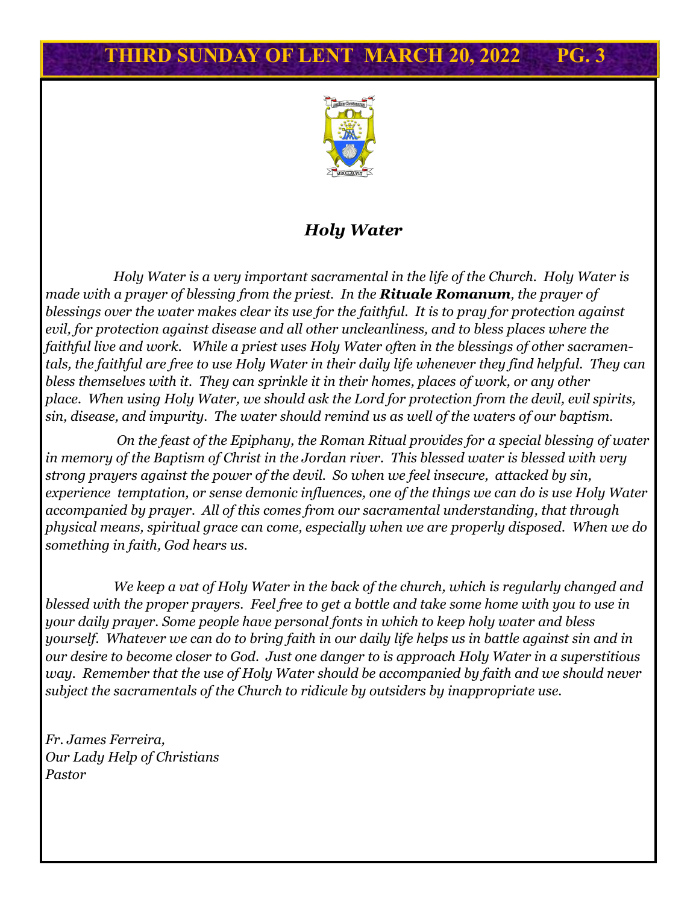

### *Holy Water*

*Holy Water is a very important sacramental in the life of the Church. Holy Water is made with a prayer of blessing from the priest. In the Rituale Romanum, the prayer of blessings over the water makes clear its use for the faithful. It is to pray for protection against evil, for protection against disease and all other uncleanliness, and to bless places where the faithful live and work. While a priest uses Holy Water often in the blessings of other sacramentals, the faithful are free to use Holy Water in their daily life whenever they find helpful. They can bless themselves with it. They can sprinkle it in their homes, places of work, or any other place. When using Holy Water, we should ask the Lord for protection from the devil, evil spirits, sin, disease, and impurity. The water should remind us as well of the waters of our baptism.*

*On the feast of the Epiphany, the Roman Ritual provides for a special blessing of water in memory of the Baptism of Christ in the Jordan river. This blessed water is blessed with very strong prayers against the power of the devil. So when we feel insecure, attacked by sin, experience temptation, or sense demonic influences, one of the things we can do is use Holy Water accompanied by prayer. All of this comes from our sacramental understanding, that through physical means, spiritual grace can come, especially when we are properly disposed. When we do something in faith, God hears us.*

*We keep a vat of Holy Water in the back of the church, which is regularly changed and blessed with the proper prayers. Feel free to get a bottle and take some home with you to use in your daily prayer. Some people have personal fonts in which to keep holy water and bless yourself. Whatever we can do to bring faith in our daily life helps us in battle against sin and in our desire to become closer to God. Just one danger to is approach Holy Water in a superstitious way. Remember that the use of Holy Water should be accompanied by faith and we should never subject the sacramentals of the Church to ridicule by outsiders by inappropriate use.*

*Fr. James Ferreira, Our Lady Help of Christians Pastor*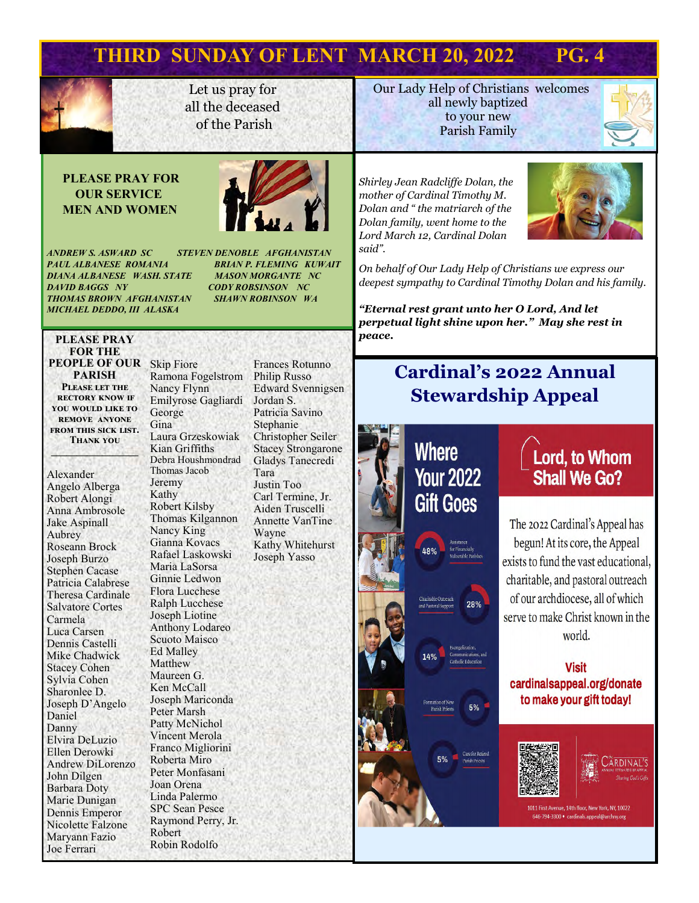

Let us pray for all the deceased of the Parish

**Our Lady Help of Christians welcomes** all newly baptized to your new Parish Family

#### **PLEASE PRAY FOR OUR SERVICE MEN AND WOMEN**



*ANDREW S. ASWARD SC STEVEN DENOBLE AFGHANISTAN PAUL ALBANESE ROMANIA BRIAN P. FLEMING KUWAIT DIANA ALBANESE WASH. STATE MASON MORGANTE NC THOMAS BROWN AFGHANISTAN SHAWN ROBINSON WA MICHAEL DEDDO, III ALASKA* 

*DAVID BAGGS NY CODY ROBSINSON NC*

#### **PLEASE PRAY FOR THE PEOPLE OF OUR**  Skip Fiore **PARISH Please let the rectory know if you would like to remove anyone from this sick list.**

**Thank you \_\_\_\_\_\_\_\_\_\_\_\_\_\_\_\_\_**

Alexander Angelo Alberga Robert Alongi Anna Ambrosole Jake Aspinall Aubrey Roseann Brock Joseph Burzo Stephen Cacase Patricia Calabrese Theresa Cardinale Salvatore Cortes Carmela Luca Carsen Dennis Castelli Mike Chadwick Stacey Cohen Sylvia Cohen Sharonlee D. Joseph D'Angelo Daniel Danny Elvira DeLuzio Ellen Derowki Andrew DiLorenzo John Dilgen Barbara Doty Marie Dunigan Dennis Emperor Nicolette Falzone Maryann Fazio Joe Ferrari

Ramona Fogelstrom Nancy Flynn Emilyrose Gagliardi George Gina Laura Grzeskowiak Kian Griffiths Debra Houshmondrad Thomas Jacob Jeremy Kathy Robert Kilsby Thomas Kilgannon Nancy King Gianna Kovacs Rafael Laskowski Maria LaSorsa Ginnie Ledwon Flora Lucchese Ralph Lucchese Joseph Liotine Anthony Lodareo Scuoto Maisco Ed Malley Matthew Maureen G. Ken McCall Joseph Mariconda Peter Marsh Patty McNichol Vincent Merola Franco Migliorini Roberta Miro Peter Monfasani Joan Orena Linda Palermo SPC Sean Pesce Raymond Perry, Jr. Robert Robin Rodolfo

Frances Rotunno Philip Russo Edward Svennigsen Jordan S. Patricia Savino Stephanie Christopher Seiler Stacey Strongarone Gladys Tanecredi Tara Justin Too Carl Termine, Jr. Aiden Truscelli Annette VanTine Wayne Kathy Whitehurst Joseph Yasso

*Shirley Jean Radcliffe Dolan, the mother of Cardinal Timothy M. Dolan and " the matriarch of the Dolan family, went home to the Lord March 12, Cardinal Dolan said".*



*On behalf of Our Lady Help of Christians we express our deepest sympathy to Cardinal Timothy Dolan and his family.* 

*"Eternal rest grant unto her O Lord, And let perpetual light shine upon her." May she rest in peace.* 

# **Cardinal's 2022 Annual Stewardship Appeal**



Lord, to Whom **Shall We Go?** 

The 2022 Cardinal's Appeal has begun! At its core, the Appeal exists to fund the vast educational, charitable, and pastoral outreach of our archdiocese, all of which serve to make Christ known in the world.

#### **Visit** cardinalsappeal.org/donate to make your gift today!



 $5%$ 

**ARDINAL'S** 

1011 First Avenue, 14th floor, New York, NY, 10022 646-794-3300 · cardinals.appeal@archny.org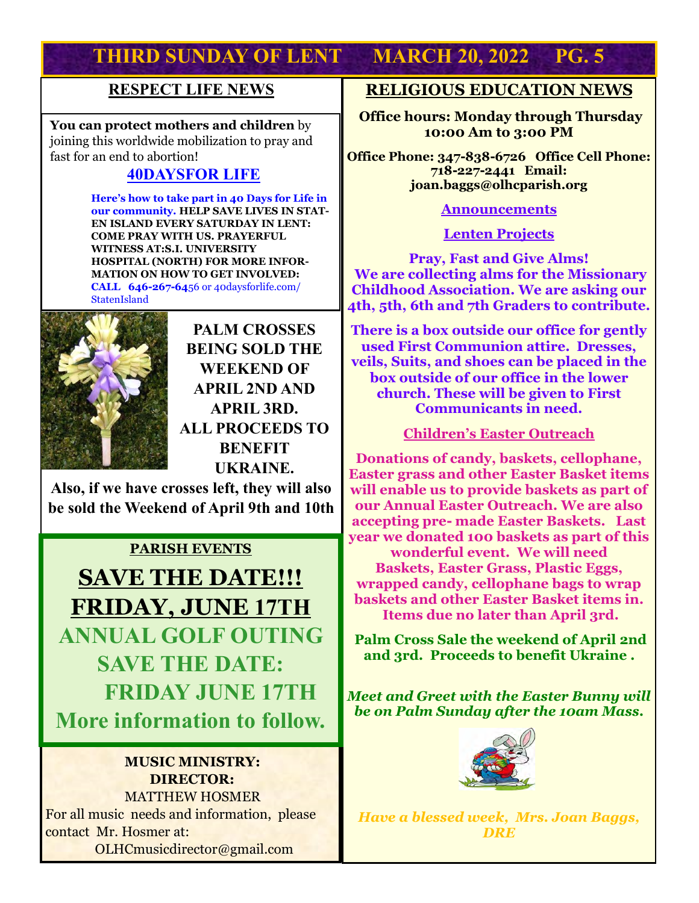### **RESPECT LIFE NEWS**

**You can protect mothers and children** by joining this worldwide mobilization to pray and fast for an end to abortion!

### **40DAYSFOR LIFE**

 **Here's how to take part in 40 Days for Life in our community. HELP SAVE LIVES IN STAT-EN ISLAND EVERY SATURDAY IN LENT: COME PRAY WITH US. PRAYERFUL WITNESS AT:S.I. UNIVERSITY HOSPITAL (NORTH) FOR MORE INFOR-MATION ON HOW TO GET INVOLVED: CALL 646-267-64**56 or 40daysforlife.com/ **StatenIsland** 



**PALM CROSSES BEING SOLD THE WEEKEND OF APRIL 2ND AND APRIL 3RD. ALL PROCEEDS TO BENEFIT UKRAINE.** 

**Also, if we have crosses left, they will also be sold the Weekend of April 9th and 10th**

### **PARISH EVENTS**

**SAVE THE DATE!!! FRIDAY, JUNE 17TH ANNUAL GOLF OUTING SAVE THE DATE: FRIDAY JUNE 17TH More information to follow.**

#### **MUSIC MINISTRY: DIRECTOR:**

 MATTHEW HOSMER For all music needs and information, please contact Mr. Hosmer at: OLHCmusicdirector@gmail.com

### **RELIGIOUS EDUCATION NEWS**

**Office hours: Monday through Thursday 10:00 Am to 3:00 PM**

**Office Phone: 347-838-6726 Office Cell Phone: 718-227-2441 Email: joan.baggs@olhcparish.org**

#### **Announcements**

**Lenten Projects**

**Pray, Fast and Give Alms! We are collecting alms for the Missionary Childhood Association. We are asking our 4th, 5th, 6th and 7th Graders to contribute.** 

**There is a box outside our office for gently used First Communion attire. Dresses, veils, Suits, and shoes can be placed in the box outside of our office in the lower church. These will be given to First Communicants in need.** 

**Children's Easter Outreach** 

**Donations of candy, baskets, cellophane, Easter grass and other Easter Basket items will enable us to provide baskets as part of our Annual Easter Outreach. We are also accepting pre- made Easter Baskets. Last year we donated 100 baskets as part of this wonderful event. We will need** 

**Baskets, Easter Grass, Plastic Eggs, wrapped candy, cellophane bags to wrap baskets and other Easter Basket items in. Items due no later than April 3rd.** 

**Palm Cross Sale the weekend of April 2nd and 3rd. Proceeds to benefit Ukraine .** 

*Meet and Greet with the Easter Bunny will be on Palm Sunday after the 10am Mass.* 



*Have a blessed week, Mrs. Joan Baggs, DRE*